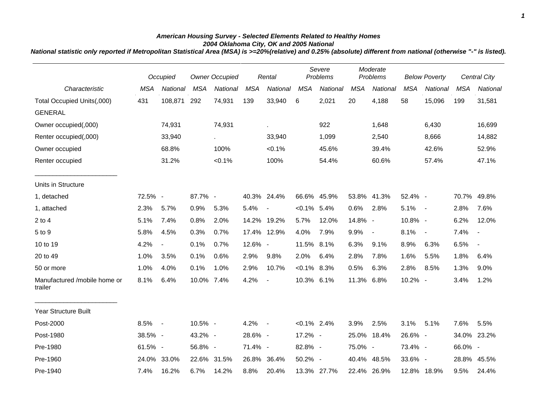## *American Housing Survey - Selected Elements Related to Healthy Homes 2004 Oklahoma City, OK and 2005 National*

*National statistic only reported if Metropolitan Statistical Area (MSA) is >=20%(relative) and 0.25% (absolute) different from national (otherwise "-" is listed).*

|                                         | Occupied   |                          | <b>Owner Occupied</b> |             | Rental     |                          | Severe<br>Problems |             | Moderate<br>Problems |                | <b>Below Poverty</b> |                | Central City |                          |
|-----------------------------------------|------------|--------------------------|-----------------------|-------------|------------|--------------------------|--------------------|-------------|----------------------|----------------|----------------------|----------------|--------------|--------------------------|
| Characteristic                          | <b>MSA</b> | National                 | <b>MSA</b>            | National    | <b>MSA</b> | National                 | <b>MSA</b>         | National    | <b>MSA</b>           | National       | <b>MSA</b>           | National       | <b>MSA</b>   | National                 |
| Total Occupied Units(,000)              | 431        | 108,871                  | 292                   | 74,931      | 139        | 33,940                   | 6                  | 2,021       | 20                   | 4,188          | 58                   | 15,096         | 199          | 31,581                   |
| <b>GENERAL</b>                          |            |                          |                       |             |            |                          |                    |             |                      |                |                      |                |              |                          |
| Owner occupied(,000)                    |            | 74,931                   |                       | 74,931      |            | ä,                       |                    | 922         |                      | 1,648          |                      | 6,430          |              | 16,699                   |
| Renter occupied(,000)                   |            | 33,940                   |                       | $\sim$      |            | 33,940                   |                    | 1,099       |                      | 2,540          |                      | 8,666          |              | 14,882                   |
| Owner occupied                          |            | 68.8%                    |                       | 100%        |            | $< 0.1\%$                |                    | 45.6%       |                      | 39.4%          |                      | 42.6%          |              | 52.9%                    |
| Renter occupied                         |            | 31.2%                    |                       | $< 0.1\%$   |            | 100%                     |                    | 54.4%       |                      | 60.6%          |                      | 57.4%          |              | 47.1%                    |
| Units in Structure                      |            |                          |                       |             |            |                          |                    |             |                      |                |                      |                |              |                          |
| 1, detached                             | 72.5% -    |                          | 87.7% -               |             |            | 40.3% 24.4%              |                    | 66.6% 45.9% |                      | 53.8% 41.3%    | 52.4% -              |                | 70.7%        | 49.8%                    |
| 1, attached                             | 2.3%       | 5.7%                     | 0.9%                  | 5.3%        | 5.4%       | $\overline{\phantom{a}}$ | $< 0.1\%$ 5.4%     |             | 0.6%                 | 2.8%           | 5.1%                 | $\sim$ $-$     | 2.8%         | 7.6%                     |
| $2$ to $4$                              | 5.1%       | 7.4%                     | 0.8%                  | 2.0%        | 14.2%      | 19.2%                    | 5.7%               | 12.0%       | 14.8% -              |                | 10.8% -              |                | 6.2%         | 12.0%                    |
| 5 to 9                                  | 5.8%       | 4.5%                     | 0.3%                  | 0.7%        |            | 17.4% 12.9%              | 4.0%               | 7.9%        | 9.9%                 | $\blacksquare$ | 8.1%                 | $\blacksquare$ | 7.4%         | $\overline{\phantom{a}}$ |
| 10 to 19                                | 4.2%       | $\overline{\phantom{a}}$ | 0.1%                  | 0.7%        | 12.6% -    |                          | 11.5% 8.1%         |             | 6.3%                 | 9.1%           | 8.9%                 | 6.3%           | 6.5%         | $\overline{\phantom{a}}$ |
| 20 to 49                                | 1.0%       | 3.5%                     | 0.1%                  | 0.6%        | 2.9%       | 9.8%                     | 2.0%               | 6.4%        | 2.8%                 | 7.8%           | 1.6%                 | 5.5%           | 1.8%         | 6.4%                     |
| 50 or more                              | 1.0%       | 4.0%                     | 0.1%                  | 1.0%        | 2.9%       | 10.7%                    | $< 0.1\%$ 8.3%     |             | 0.5%                 | 6.3%           | 2.8%                 | 8.5%           | 1.3%         | 9.0%                     |
| Manufactured /mobile home or<br>trailer | 8.1%       | 6.4%                     | 10.0%                 | 7.4%        | 4.2%       | $\blacksquare$           | 10.3% 6.1%         |             | 11.3%                | 6.8%           | 10.2% -              |                | 3.4%         | 1.2%                     |
| <b>Year Structure Built</b>             |            |                          |                       |             |            |                          |                    |             |                      |                |                      |                |              |                          |
| Post-2000                               | 8.5% -     |                          | 10.5% -               |             | 4.2%       | $\overline{\phantom{a}}$ | $< 0.1\%$ 2.4%     |             | 3.9%                 | 2.5%           | 3.1%                 | 5.1%           | 7.6%         | 5.5%                     |
| Post-1980                               | 38.5% -    |                          | 43.2% -               |             | 28.6% -    |                          | 17.2% -            |             | 25.0%                | 18.4%          | 26.6% -              |                | 34.0%        | 23.2%                    |
| Pre-1980                                | 61.5% -    |                          | 56.8% -               |             | 71.4% -    |                          | 82.8% -            |             | 75.0% -              |                | 73.4% -              |                | 66.0% -      |                          |
| Pre-1960                                | 24.0%      | 33.0%                    |                       | 22.6% 31.5% | 26.8%      | 36.4%                    | 50.2% -            |             |                      | 40.4% 48.5%    | 33.6% -              |                | 28.8%        | 45.5%                    |
| Pre-1940                                | 7.4%       | 16.2%                    | 6.7%                  | 14.2%       | 8.8%       | 20.4%                    |                    | 13.3% 27.7% |                      | 22.4% 26.9%    |                      | 12.8% 18.9%    | 9.5%         | 24.4%                    |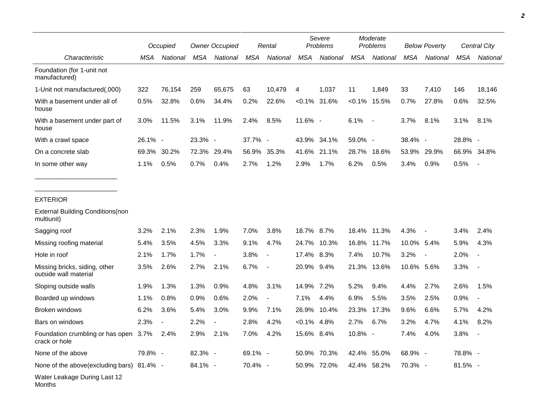|                                                             | Occupied |          | <b>Owner Occupied</b> |          | Rental     |                          | Severe<br>Problems |             | Moderate<br>Problems |                          | <b>Below Poverty</b> |                          | Central City |          |
|-------------------------------------------------------------|----------|----------|-----------------------|----------|------------|--------------------------|--------------------|-------------|----------------------|--------------------------|----------------------|--------------------------|--------------|----------|
| Characteristic                                              | MSA      | National | MSA                   | National | <b>MSA</b> | National                 | <b>MSA</b>         | National    | <b>MSA</b>           | National                 | MSA                  | National                 | <b>MSA</b>   | National |
| Foundation (for 1-unit not<br>manufactured)                 |          |          |                       |          |            |                          |                    |             |                      |                          |                      |                          |              |          |
| 1-Unit not manufactured(,000)                               | 322      | 76,154   | 259                   | 65,675   | 63         | 10,479                   | 4                  | 1,037       | 11                   | 1,849                    | 33                   | 7,410                    | 146          | 18,146   |
| With a basement under all of<br>house                       | 0.5%     | 32.8%    | 0.6%                  | 34.4%    | 0.2%       | 22.6%                    | $< 0.1\%$          | 31.6%       |                      | $< 0.1\%$ 15.5%          | 0.7%                 | 27.8%                    | 0.6%         | 32.5%    |
| With a basement under part of<br>house                      | 3.0%     | 11.5%    | 3.1%                  | 11.9%    | 2.4%       | 8.5%                     | 11.6% -            |             | 6.1%                 | $\overline{\phantom{a}}$ | 3.7%                 | 8.1%                     | 3.1%         | 8.1%     |
| With a crawl space                                          | 26.1% -  |          | 23.3% -               |          | 37.7% -    |                          | 43.9%              | 34.1%       | 59.0% -              |                          | 38.4% -              |                          | 28.8% -      |          |
| On a concrete slab                                          | 69.3%    | 30.2%    | 72.3%                 | 29.4%    | 56.9%      | 35.3%                    | 41.6%              | 21.1%       | 28.7%                | 18.6%                    | 53.9%                | 29.9%                    | 66.9%        | 34.8%    |
| In some other way                                           | 1.1%     | 0.5%     | 0.7%                  | 0.4%     | 2.7%       | 1.2%                     | 2.9%               | 1.7%        | 6.2%                 | 0.5%                     | 3.4%                 | 0.9%                     | 0.5%         |          |
| <b>EXTERIOR</b>                                             |          |          |                       |          |            |                          |                    |             |                      |                          |                      |                          |              |          |
| <b>External Building Conditions (non</b><br>multiunit)      |          |          |                       |          |            |                          |                    |             |                      |                          |                      |                          |              |          |
| Sagging roof                                                | 3.2%     | 2.1%     | 2.3%                  | 1.9%     | 7.0%       | 3.8%                     | 18.7% 8.7%         |             | 18.4%                | 11.3%                    | 4.3%                 | $\overline{\phantom{a}}$ | 3.4%         | 2.4%     |
| Missing roofing material                                    | 5.4%     | 3.5%     | 4.5%                  | 3.3%     | 9.1%       | 4.7%                     |                    | 24.7% 10.3% | 16.8%                | 11.7%                    | 10.0% 5.4%           |                          | 5.9%         | 4.3%     |
| Hole in roof                                                | 2.1%     | 1.7%     | 1.7%                  |          | 3.8%       | $\overline{\phantom{a}}$ | 17.4% 8.3%         |             | 7.4%                 | 10.7%                    | 3.2%                 | $\overline{\phantom{a}}$ | 2.0%         |          |
| Missing bricks, siding, other<br>outside wall material      | 3.5%     | 2.6%     | 2.7%                  | 2.1%     | 6.7%       | $\overline{\phantom{a}}$ | 20.9% 9.4%         |             | 21.3%                | 13.6%                    | 10.6% 5.6%           |                          | 3.3%         |          |
| Sloping outside walls                                       | 1.9%     | 1.3%     | 1.3%                  | 0.9%     | 4.8%       | 3.1%                     | 14.9%              | 7.2%        | 5.2%                 | 9.4%                     | 4.4%                 | 2.7%                     | 2.6%         | 1.5%     |
| Boarded up windows                                          | 1.1%     | 0.8%     | 0.9%                  | 0.6%     | 2.0%       | $\overline{\phantom{a}}$ | 7.1%               | 4.4%        | 6.9%                 | 5.5%                     | 3.5%                 | 2.5%                     | 0.9%         |          |
| Broken windows                                              | 6.2%     | 3.6%     | 5.4%                  | 3.0%     | 9.9%       | 7.1%                     | 26.9%              | 10.4%       | 23.3%                | 17.3%                    | 9.6%                 | 6.6%                     | 5.7%         | 4.2%     |
| Bars on windows                                             | 2.3%     |          | 2.2%                  |          | 2.8%       | 4.2%                     | $< 0.1\%$          | 4.8%        | 2.7%                 | 6.7%                     | 3.2%                 | 4.7%                     | 4.1%         | 8.2%     |
| Foundation crumbling or has open 3.7% 2.4%<br>crack or hole |          |          | 2.9% 2.1%             |          | 7.0%       | 4.2%                     | 15.6% 8.4%         |             | 10.8%                |                          | 7.4%                 | 4.0%                     | 3.8%         |          |
| None of the above                                           | 79.8% -  |          | 82.3% -               |          | 69.1% -    |                          |                    | 50.9% 70.3% |                      | 42.4% 55.0%              | 68.9% -              |                          | 78.8% -      |          |
| None of the above(excluding bars) 81.4% -                   |          |          | 84.1% -               |          | 70.4% -    |                          |                    | 50.9% 72.0% |                      | 42.4% 58.2%              | 70.3% -              |                          | 81.5% -      |          |
| Water Leakage During Last 12<br>Months                      |          |          |                       |          |            |                          |                    |             |                      |                          |                      |                          |              |          |

*2*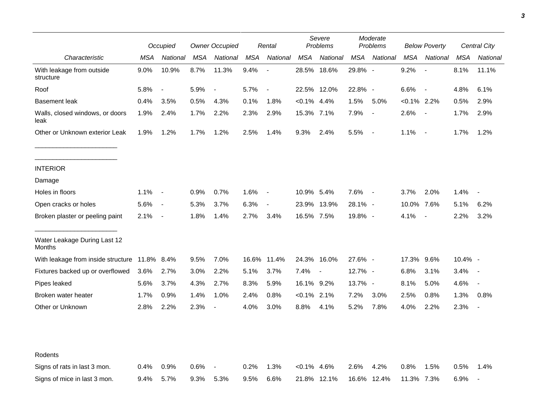|                                               |         | Occupied                 |            | <b>Owner Occupied</b>    |       | Rental                   |                | Severe<br>Problems |         | Moderate<br>Problems     |                | <b>Below Poverty</b>     |            | Central City             |  |
|-----------------------------------------------|---------|--------------------------|------------|--------------------------|-------|--------------------------|----------------|--------------------|---------|--------------------------|----------------|--------------------------|------------|--------------------------|--|
| Characteristic                                | MSA     | National                 | <b>MSA</b> | National                 | MSA   | National                 | <b>MSA</b>     | National           | MSA     | National                 | <b>MSA</b>     | National                 | <b>MSA</b> | National                 |  |
| With leakage from outside<br>structure        | 9.0%    | 10.9%                    | 8.7%       | 11.3%                    | 9.4%  | $\overline{\phantom{a}}$ |                | 28.5% 18.6%        | 29.8% - |                          | 9.2%           | $\overline{\phantom{a}}$ | 8.1%       | 11.1%                    |  |
| Roof                                          | 5.8%    | $\blacksquare$           | 5.9%       | $\overline{\phantom{a}}$ | 5.7%  | $\overline{a}$           |                | 22.5% 12.0%        | 22.8% - |                          | 6.6%           | $\overline{\phantom{a}}$ | 4.8%       | 6.1%                     |  |
| <b>Basement leak</b>                          | 0.4%    | 3.5%                     | 0.5%       | 4.3%                     | 0.1%  | 1.8%                     | $< 0.1\%$ 4.4% |                    | 1.5%    | 5.0%                     | $< 0.1\%$ 2.2% |                          | 0.5%       | 2.9%                     |  |
| Walls, closed windows, or doors<br>leak       | 1.9%    | 2.4%                     | 1.7%       | 2.2%                     | 2.3%  | 2.9%                     | 15.3% 7.1%     |                    | 7.9%    | $\blacksquare$           | 2.6%           | $\sim$                   | 1.7%       | 2.9%                     |  |
| Other or Unknown exterior Leak                | 1.9%    | 1.2%                     | 1.7%       | 1.2%                     | 2.5%  | 1.4%                     | 9.3%           | 2.4%               | 5.5%    | $\overline{\phantom{a}}$ | 1.1%           | $\sim$ $-$               | 1.7%       | 1.2%                     |  |
| <b>INTERIOR</b>                               |         |                          |            |                          |       |                          |                |                    |         |                          |                |                          |            |                          |  |
| Damage                                        |         |                          |            |                          |       |                          |                |                    |         |                          |                |                          |            |                          |  |
| Holes in floors                               | 1.1%    | $\overline{\phantom{a}}$ | 0.9%       | 0.7%                     | 1.6%  | $\overline{\phantom{a}}$ | 10.9% 5.4%     |                    | 7.6%    | $\overline{\phantom{a}}$ | $3.7\%$        | 2.0%                     | 1.4%       |                          |  |
| Open cracks or holes                          | 5.6%    | $\blacksquare$           | 5.3%       | 3.7%                     | 6.3%  | $\blacksquare$           |                | 23.9% 13.9%        | 28.1% - |                          | 10.0% 7.6%     |                          | 5.1%       | 6.2%                     |  |
| Broken plaster or peeling paint               | 2.1%    | $\overline{\phantom{a}}$ | 1.8%       | 1.4%                     | 2.7%  | 3.4%                     | 16.5% 7.5%     |                    | 19.8% - |                          | 4.1%           | $\overline{\phantom{a}}$ | 2.2%       | 3.2%                     |  |
| Water Leakage During Last 12<br>Months        |         |                          |            |                          |       |                          |                |                    |         |                          |                |                          |            |                          |  |
| With leakage from inside structure 11.8% 8.4% |         |                          | 9.5%       | 7.0%                     | 16.6% | 11.4%                    |                | 24.3% 16.0%        | 27.6% - |                          | 17.3%          | 9.6%                     | 10.4% -    |                          |  |
| Fixtures backed up or overflowed              | 3.6%    | 2.7%                     | 3.0%       | 2.2%                     | 5.1%  | 3.7%                     | 7.4%           | $\blacksquare$     | 12.7% - |                          | 6.8%           | 3.1%                     | 3.4%       |                          |  |
| Pipes leaked                                  | 5.6%    | 3.7%                     | 4.3%       | 2.7%                     | 8.3%  | 5.9%                     | 16.1% 9.2%     |                    | 13.7% - |                          | 8.1%           | 5.0%                     | 4.6%       |                          |  |
| Broken water heater                           | 1.7%    | 0.9%                     | 1.4%       | 1.0%                     | 2.4%  | 0.8%                     | $< 0.1\%$ 2.1% |                    | 7.2%    | 3.0%                     | 2.5%           | 0.8%                     | 1.3%       | 0.8%                     |  |
| Other or Unknown                              | 2.8%    | 2.2%                     | 2.3%       | $\blacksquare$           | 4.0%  | 3.0%                     | 8.8%           | 4.1%               | 5.2%    | 7.8%                     | 4.0%           | 2.2%                     | 2.3%       |                          |  |
| Rodents                                       |         |                          |            |                          |       |                          |                |                    |         |                          |                |                          |            |                          |  |
| Signs of rats in last 3 mon.                  | 0.4%    | 0.9%                     | 0.6%       |                          | 0.2%  | 1.3%                     | $< 0.1\%$ 4.6% |                    | 2.6%    | 4.2%                     | 0.8%           | 1.5%                     | 0.5%       | 1.4%                     |  |
| Signs of mice in last 3 mon.                  | $9.4\%$ | 5.7%                     | 9.3%       | 5.3%                     | 9.5%  | 6.6%                     |                | 21.8% 12.1%        |         | 16.6% 12.4%              | 11.3%          | 7.3%                     | 6.9%       | $\overline{\phantom{a}}$ |  |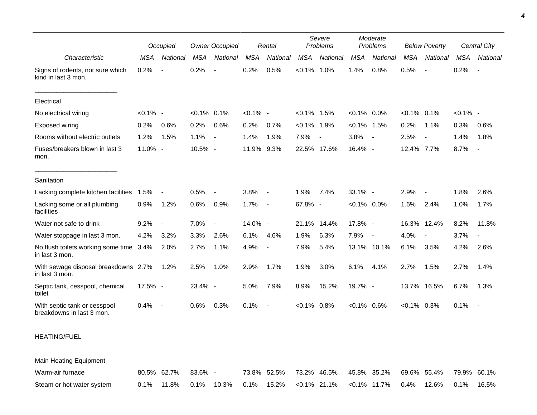|                                                           | Occupied    |                          | <b>Owner Occupied</b> |                          | Rental      |                          | Severe<br>Problems |                          | Moderate<br>Problems |                          | <b>Below Poverty</b> |                          | Central City |                          |
|-----------------------------------------------------------|-------------|--------------------------|-----------------------|--------------------------|-------------|--------------------------|--------------------|--------------------------|----------------------|--------------------------|----------------------|--------------------------|--------------|--------------------------|
| Characteristic                                            | <b>MSA</b>  | National                 | <b>MSA</b>            | National                 | <b>MSA</b>  | National                 | <b>MSA</b>         | National                 | <b>MSA</b>           | National                 | <b>MSA</b>           | National                 | <b>MSA</b>   | National                 |
| Signs of rodents, not sure which<br>kind in last 3 mon.   | 0.2%        | $\overline{\phantom{a}}$ | 0.2%                  | $\overline{\phantom{a}}$ | 0.2%        | 0.5%                     | $< 0.1\%$ 1.0%     |                          | 1.4%                 | 0.8%                     | 0.5%                 | $\overline{\phantom{a}}$ | 0.2%         | $\overline{\phantom{a}}$ |
| Electrical                                                |             |                          |                       |                          |             |                          |                    |                          |                      |                          |                      |                          |              |                          |
| No electrical wiring                                      | $< 0.1\%$ - |                          | $< 0.1\%$ 0.1%        |                          | $< 0.1\%$ - |                          | $< 0.1\%$ 1.5%     |                          | $< 0.1\%$ 0.0%       |                          | $< 0.1\%$ 0.1%       |                          | $< 0.1\%$ -  |                          |
| Exposed wiring                                            | 0.2%        | 0.6%                     | 0.2%                  | 0.6%                     | 0.2%        | 0.7%                     | $< 0.1\%$ 1.9%     |                          | $<0.1\%$ 1.5%        |                          | 0.2%                 | 1.1%                     | 0.3%         | 0.6%                     |
| Rooms without electric outlets                            | 1.2%        | 1.5%                     | 1.1%                  | $\overline{\phantom{a}}$ | 1.4%        | 1.9%                     | 7.9%               | $\overline{\phantom{a}}$ | 3.8%                 | $\blacksquare$           | 2.5%                 |                          | 1.4%         | 1.8%                     |
| Fuses/breakers blown in last 3<br>mon.                    | 11.0% -     |                          | 10.5% -               |                          | 11.9%       | 9.3%                     |                    | 22.5% 17.6%              | 16.4% -              |                          | 12.4% 7.7%           |                          | 8.7%         | $\overline{\phantom{a}}$ |
| Sanitation                                                |             |                          |                       |                          |             |                          |                    |                          |                      |                          |                      |                          |              |                          |
| Lacking complete kitchen facilities                       | 1.5%        |                          | 0.5%                  |                          | 3.8%        | $\overline{\phantom{a}}$ | 1.9%               | 7.4%                     | 33.1% -              |                          | 2.9%                 |                          | 1.8%         | 2.6%                     |
| Lacking some or all plumbing<br>facilities                | 0.9%        | 1.2%                     | 0.6%                  | 0.9%                     | 1.7%        | $\blacksquare$           | 67.8% -            |                          | $< 0.1\%$ 0.0%       |                          | 1.6%                 | 2.4%                     | 1.0%         | 1.7%                     |
| Water not safe to drink                                   | 9.2%        |                          | 7.0%                  | $\overline{\phantom{a}}$ | 14.0% -     |                          |                    | 21.1% 14.4%              | 17.8% -              |                          | 16.3%                | 12.4%                    | 8.2%         | 11.8%                    |
| Water stoppage in last 3 mon.                             | 4.2%        | 3.2%                     | 3.3%                  | 2.6%                     | 6.1%        | 4.6%                     | 1.9%               | 6.3%                     | 7.9%                 | $\overline{\phantom{a}}$ | 4.0%                 |                          | 3.7%         | $\overline{\phantom{a}}$ |
| No flush toilets working some time 3.4%<br>in last 3 mon. |             | 2.0%                     | 2.7%                  | 1.1%                     | 4.9%        | $\overline{a}$           | 7.9%               | 5.4%                     |                      | 13.1% 10.1%              | 6.1%                 | 3.5%                     | 4.2%         | 2.6%                     |
| With sewage disposal breakdowns 2.7%<br>in last 3 mon.    |             | 1.2%                     | 2.5%                  | 1.0%                     | 2.9%        | 1.7%                     | 1.9%               | 3.0%                     | 6.1%                 | 4.1%                     | 2.7%                 | 1.5%                     | 2.7%         | 1.4%                     |
| Septic tank, cesspool, chemical<br>toilet                 | 17.5% -     |                          | $23.4\%$ -            |                          | 5.0%        | 7.9%                     | 8.9%               | 15.2%                    | 19.7% -              |                          |                      | 13.7% 16.5%              | 6.7%         | 1.3%                     |
| With septic tank or cesspool<br>breakdowns in last 3 mon. | 0.4%        | $\overline{\phantom{a}}$ | 0.6%                  | 0.3%                     | 0.1%        | $\overline{\phantom{a}}$ | $< 0.1\%$ 0.8%     |                          | $< 0.1\%$ 0.6%       |                          | $< 0.1\%$ 0.3%       |                          | 0.1%         | $\sim$                   |
| <b>HEATING/FUEL</b>                                       |             |                          |                       |                          |             |                          |                    |                          |                      |                          |                      |                          |              |                          |
| Main Heating Equipment                                    |             |                          |                       |                          |             |                          |                    |                          |                      |                          |                      |                          |              |                          |
| Warm-air furnace                                          |             | 80.5% 62.7%              | $83.6\%$ -            |                          |             | 73.8% 52.5%              |                    | 73.2% 46.5%              |                      | 45.8% 35.2%              |                      | 69.6% 55.4%              |              | 79.9% 60.1%              |

Steam or hot water system 0.1% 11.8% 0.1% 10.3% 0.1% 15.2% <0.1% 21.1% <0.1% 11.7% 0.4% 12.6% 0.1% 16.5%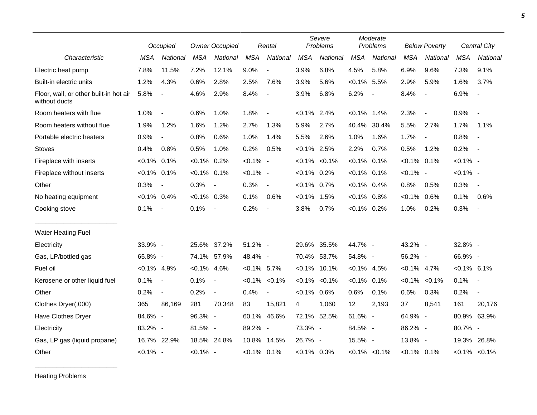|                                                         | Occupied       |                          | <b>Owner Occupied</b> |                          | Rental         |                          | Severe<br>Problems |                     | Moderate<br>Problems |                          | <b>Below Poverty</b> |                          | <b>Central City</b> |                          |
|---------------------------------------------------------|----------------|--------------------------|-----------------------|--------------------------|----------------|--------------------------|--------------------|---------------------|----------------------|--------------------------|----------------------|--------------------------|---------------------|--------------------------|
| Characteristic                                          | <b>MSA</b>     | National                 | <b>MSA</b>            | National                 | <b>MSA</b>     | National                 | <b>MSA</b>         | National            | <b>MSA</b>           | National                 | <b>MSA</b>           | National                 | <b>MSA</b>          | National                 |
| Electric heat pump                                      | 7.8%           | 11.5%                    | 7.2%                  | 12.1%                    | 9.0%           | $\blacksquare$           | 3.9%               | 6.8%                | 4.5%                 | 5.8%                     | 6.9%                 | 9.6%                     | 7.3%                | 9.1%                     |
| Built-in electric units                                 | 1.2%           | 4.3%                     | 0.6%                  | 2.8%                     | 2.5%           | 7.6%                     | 3.9%               | 5.6%                | $< 0.1\%$            | 5.5%                     | 2.9%                 | 5.9%                     | 1.6%                | 3.7%                     |
| Floor, wall, or other built-in hot air<br>without ducts | 5.8%           | $\blacksquare$           | 4.6%                  | 2.9%                     | 8.4%           | $\blacksquare$           | 3.9%               | 6.8%                | 6.2%                 | $\overline{\phantom{a}}$ | 8.4%                 | $\blacksquare$           | 6.9%                | $\overline{\phantom{a}}$ |
| Room heaters with flue                                  | 1.0%           | $\overline{\phantom{a}}$ | 0.6%                  | 1.0%                     | 1.8%           | $\overline{\phantom{a}}$ | $< 0.1\%$          | 2.4%                | $< 0.1\%$            | 1.4%                     | 2.3%                 | $\overline{\phantom{a}}$ | 0.9%                | $\blacksquare$           |
| Room heaters without flue                               | 1.9%           | 1.2%                     | 1.6%                  | 1.2%                     | 2.7%           | 1.3%                     | 5.9%               | 2.7%                | 40.4%                | 30.4%                    | 5.5%                 | 2.7%                     | 1.7%                | 1.1%                     |
| Portable electric heaters                               | 0.9%           | $\blacksquare$           | 0.8%                  | 0.6%                     | 1.0%           | 1.4%                     | 5.5%               | 2.6%                | 1.0%                 | 1.6%                     | 1.7%                 | $\overline{\phantom{a}}$ | 0.8%                | $\sim$                   |
| <b>Stoves</b>                                           | 0.4%           | 0.8%                     | 0.5%                  | 1.0%                     | 0.2%           | 0.5%                     | $< 0.1\%$ 2.5%     |                     | 2.2%                 | 0.7%                     | 0.5%                 | 1.2%                     | 0.2%                | $\sim$ $-$               |
| Fireplace with inserts                                  | $< 0.1\%$ 0.1% |                          | $< 0.1\%$             | 0.2%                     | $< 0.1\%$ -    |                          |                    | $< 0.1\%$ $< 0.1\%$ | $< 0.1\%$            | 0.1%                     | $< 0.1\%$ 0.1%       |                          | $< 0.1\%$ -         |                          |
| Fireplace without inserts                               | $< 0.1\%$ 0.1% |                          | $< 0.1\%$ 0.1%        |                          | $< 0.1\%$ -    |                          | $< 0.1\%$ 0.2%     |                     | $< 0.1\%$ 0.1%       |                          | $< 0.1\%$ -          |                          | $< 0.1\%$ -         |                          |
| Other                                                   | 0.3%           | $\overline{\phantom{a}}$ | 0.3%                  | $\overline{\phantom{a}}$ | 0.3%           | $\blacksquare$           | $< 0.1\%$ 0.7%     |                     | $< 0.1\%$ 0.4%       |                          | 0.8%                 | 0.5%                     | 0.3%                | $\sim$                   |
| No heating equipment                                    | $< 0.1\%$ 0.4% |                          | $< 0.1\%$ 0.3%        |                          | 0.1%           | 0.6%                     | $< 0.1\%$ 1.5%     |                     | $< 0.1\%$            | 0.8%                     | $< 0.1\%$            | 0.6%                     | 0.1%                | 0.6%                     |
| Cooking stove                                           | 0.1%           | $\sim$                   | 0.1%                  | $\overline{\phantom{a}}$ | 0.2%           | $\overline{\phantom{a}}$ | 3.8%               | 0.7%                | $< 0.1\%$ 0.2%       |                          | 1.0%                 | 0.2%                     | 0.3%                | $\sim$                   |
| <b>Water Heating Fuel</b>                               |                |                          |                       |                          |                |                          |                    |                     |                      |                          |                      |                          |                     |                          |
| Electricity                                             | 33.9% -        |                          | 25.6% 37.2%           |                          | 51.2% -        |                          |                    | 29.6% 35.5%         | 44.7% -              |                          | 43.2% -              |                          | 32.8% -             |                          |
| Gas, LP/bottled gas                                     | 65.8% -        |                          | 74.1% 57.9%           |                          | 48.4% -        |                          |                    | 70.4% 53.7%         | 54.8% -              |                          | 56.2% -              |                          | 66.9% -             |                          |
| Fuel oil                                                | $< 0.1\%$ 4.9% |                          | $< 0.1\%$ 4.6%        |                          | $< 0.1\%$ 5.7% |                          |                    | $< 0.1\%$ 10.1%     | $< 0.1\%$ 4.5%       |                          | $< 0.1\%$ 4.7%       |                          | $< 0.1\%$ 6.1%      |                          |
| Kerosene or other liquid fuel                           | 0.1%           | $\sim$                   | 0.1%                  | $\overline{\phantom{a}}$ |                | $< 0.1\% < 0.1\%$        |                    | $< 0.1\%$ $< 0.1\%$ | $< 0.1\%$ 0.1%       |                          | $< 0.1\%$            | $< 0.1\%$                | 0.1%                | $\sim$                   |
| Other                                                   | 0.2%           | $\blacksquare$           | 0.2%                  | $\overline{\phantom{a}}$ | 0.4%           | $\blacksquare$           | $< 0.1\%$ 0.6%     |                     | 0.6%                 | 0.1%                     | 0.6%                 | 0.3%                     | 0.2%                | $\overline{\phantom{a}}$ |
| Clothes Dryer(,000)                                     | 365            | 86,169                   | 281                   | 70,348                   | 83             | 15,821                   | 4                  | 1,060               | 12                   | 2,193                    | 37                   | 8,541                    | 161                 | 20,176                   |
| Have Clothes Dryer                                      | 84.6% -        |                          | 96.3% -               |                          |                | 60.1% 46.6%              |                    | 72.1% 52.5%         | 61.6% -              |                          | 64.9% -              |                          |                     | 80.9% 63.9%              |
| Electricity                                             | 83.2% -        |                          | 81.5% -               |                          | 89.2% -        |                          | 73.3% -            |                     | 84.5% -              |                          | 86.2% -              |                          | 80.7% -             |                          |
| Gas, LP gas (liquid propane)                            |                | 16.7% 22.9%              | 18.5% 24.8%           |                          |                | 10.8% 14.5%              | 26.7% -            |                     | 15.5% -              |                          | 13.8% -              |                          | 19.3%               | 26.8%                    |
| Other                                                   | $< 0.1\%$ -    |                          | $< 0.1\%$ -           |                          | $< 0.1\%$ 0.1% |                          | $< 0.1\%$ 0.3%     |                     |                      | $< 0.1\%$ $< 0.1\%$      | $< 0.1\%$ 0.1%       |                          |                     | $< 0.1\%$ $< 0.1\%$      |

Heating Problems

\_\_\_\_\_\_\_\_\_\_\_\_\_\_\_\_\_\_\_\_\_\_\_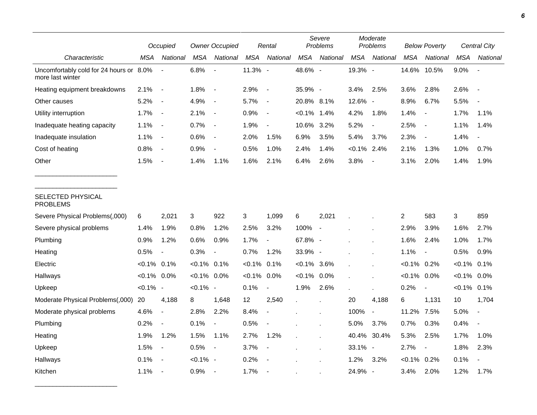|                                                             |                | Occupied                 |                | <b>Owner Occupied</b>    |            | Rental                   | Severe<br>Problems |                          | Moderate<br>Problems |                          | <b>Below Poverty</b> |                          | Central City   |                          |
|-------------------------------------------------------------|----------------|--------------------------|----------------|--------------------------|------------|--------------------------|--------------------|--------------------------|----------------------|--------------------------|----------------------|--------------------------|----------------|--------------------------|
| Characteristic                                              | MSA            | National                 | <b>MSA</b>     | National                 | <b>MSA</b> | National                 | <b>MSA</b>         | National                 | <b>MSA</b>           | National                 | MSA                  | <b>National</b>          | <b>MSA</b>     | National                 |
| Uncomfortably cold for 24 hours or 8.0%<br>more last winter |                |                          | 6.8%           |                          | 11.3% -    |                          | 48.6% -            |                          | 19.3% -              |                          | 14.6%                | 10.5%                    | 9.0%           |                          |
| Heating equipment breakdowns                                | 2.1%           | $\overline{\phantom{a}}$ | 1.8%           | $\overline{\phantom{a}}$ | 2.9%       | $\overline{\phantom{a}}$ | 35.9% -            |                          | 3.4%                 | 2.5%                     | 3.6%                 | 2.8%                     | 2.6%           | $\overline{\phantom{a}}$ |
| Other causes                                                | 5.2%           | $\overline{\phantom{a}}$ | 4.9%           | $\blacksquare$           | 5.7%       | $\overline{\phantom{a}}$ | 20.8% 8.1%         |                          | 12.6%                | $\overline{\phantom{a}}$ | 8.9%                 | 6.7%                     | 5.5%           |                          |
| Utility interruption                                        | 1.7%           | $\overline{\phantom{a}}$ | 2.1%           | $\blacksquare$           | 0.9%       | $\overline{\phantom{a}}$ | $< 0.1\%$          | 1.4%                     | 4.2%                 | 1.8%                     | 1.4%                 | $\overline{\phantom{a}}$ | 1.7%           | 1.1%                     |
| Inadequate heating capacity                                 | 1.1%           | $\overline{\phantom{a}}$ | 0.7%           | $\blacksquare$           | 1.9%       | $\overline{\phantom{a}}$ | 10.6%              | 3.2%                     | 5.2%                 | $\blacksquare$           | 2.5%                 | $\overline{\phantom{a}}$ | 1.1%           | 1.4%                     |
| Inadequate insulation                                       | 1.1%           | $\blacksquare$           | 0.6%           | $\overline{\phantom{a}}$ | 2.0%       | 1.5%                     | 6.9%               | 3.5%                     | 5.4%                 | 3.7%                     | 2.3%                 | $\overline{\phantom{a}}$ | 1.4%           | $\overline{\phantom{a}}$ |
| Cost of heating                                             | 0.8%           | $\blacksquare$           | 0.9%           |                          | 0.5%       | 1.0%                     | 2.4%               | 1.4%                     | $< 0.1\%$ 2.4%       |                          | 2.1%                 | 1.3%                     | 1.0%           | 0.7%                     |
| Other                                                       | 1.5%           | $\overline{\phantom{a}}$ | 1.4%           | 1.1%                     | 1.6%       | 2.1%                     | 6.4%               | 2.6%                     | 3.8%                 |                          | 3.1%                 | 2.0%                     | 1.4%           | 1.9%                     |
| SELECTED PHYSICAL<br><b>PROBLEMS</b>                        |                |                          |                |                          |            |                          |                    |                          |                      |                          |                      |                          |                |                          |
| Severe Physical Problems(,000)                              | 6              | 2,021                    | 3              | 922                      | 3          | 1,099                    | 6                  | 2,021                    |                      |                          | $\overline{2}$       | 583                      | $\mathsf 3$    | 859                      |
| Severe physical problems                                    | 1.4%           | 1.9%                     | 0.8%           | 1.2%                     | 2.5%       | 3.2%                     | 100%               | $\overline{\phantom{a}}$ |                      |                          | 2.9%                 | 3.9%                     | 1.6%           | 2.7%                     |
| Plumbing                                                    | 0.9%           | 1.2%                     | 0.6%           | 0.9%                     | 1.7%       |                          | 67.8% -            |                          |                      |                          | 1.6%                 | 2.4%                     | 1.0%           | 1.7%                     |
| Heating                                                     | 0.5%           | $\overline{\phantom{a}}$ | 0.3%           | $\blacksquare$           | 0.7%       | 1.2%                     | 33.9% -            |                          |                      |                          | 1.1%                 | $\blacksquare$           | 0.5%           | 0.9%                     |
| Electric                                                    | $< 0.1\%$ 0.1% |                          | $< 0.1\%$ 0.1% |                          | $< 0.1\%$  | 0.1%                     | $< 0.1\%$ 3.6%     |                          |                      |                          | $< 0.1\%$ 0.2%       |                          | $< 0.1\%$      | 0.1%                     |
| Hallways                                                    | $< 0.1\%$ 0.0% |                          | $< 0.1\%$ 0.0% |                          | $< 0.1\%$  | 0.0%                     | $< 0.1\%$ 0.0%     |                          |                      |                          | $< 0.1\%$ 0.0%       |                          | $< 0.1\%$ 0.0% |                          |
| Upkeep                                                      | $< 0.1\%$ -    |                          | $< 0.1\%$ -    |                          | 0.1%       | $\blacksquare$           | 1.9%               | 2.6%                     | ÷.                   | $\ddot{\phantom{a}}$     | 0.2%                 | $\blacksquare$           | $< 0.1\%$ 0.1% |                          |
| Moderate Physical Problems(,000)                            | 20             | 4,188                    | 8              | 1,648                    | 12         | 2,540                    |                    |                          | 20                   | 4,188                    | 6                    | 1,131                    | 10             | 1,704                    |
| Moderate physical problems                                  | 4.6%           | $\overline{a}$           | 2.8%           | 2.2%                     | 8.4%       | $\blacksquare$           |                    |                          | 100%                 | $\overline{\phantom{a}}$ | 11.2%                | 7.5%                     | 5.0%           | $\blacksquare$           |
| Plumbing                                                    | 0.2%           | $\overline{\phantom{a}}$ | 0.1%           | $\blacksquare$           | 0.5%       |                          |                    |                          | 5.0%                 | 3.7%                     | 0.7%                 | 0.3%                     | 0.4%           |                          |
| Heating                                                     | 1.9%           | 1.2%                     | 1.5%           | 1.1%                     | 2.7%       | 1.2%                     |                    |                          | 40.4%                | 30.4%                    | 5.3%                 | 2.5%                     | 1.7%           | 1.0%                     |
| Upkeep                                                      | 1.5%           | $\overline{\phantom{a}}$ | 0.5%           | $\blacksquare$           | 3.7%       | $\overline{\phantom{a}}$ |                    |                          | 33.1% -              |                          | 2.7%                 | $\overline{\phantom{a}}$ | 1.8%           | 2.3%                     |
| Hallways                                                    | 0.1%           | $\overline{\phantom{a}}$ | $< 0.1\%$ -    |                          | 0.2%       |                          |                    |                          | 1.2%                 | 3.2%                     | $< 0.1\%$ 0.2%       |                          | 0.1%           |                          |
| Kitchen                                                     | 1.1%           | $\overline{\phantom{a}}$ | 0.9%           |                          | 1.7%       | $\overline{\phantom{a}}$ |                    |                          | 24.9%                | $\overline{\phantom{a}}$ | 3.4%                 | 2.0%                     | 1.2%           | 1.7%                     |

\_\_\_\_\_\_\_\_\_\_\_\_\_\_\_\_\_\_\_\_\_\_\_